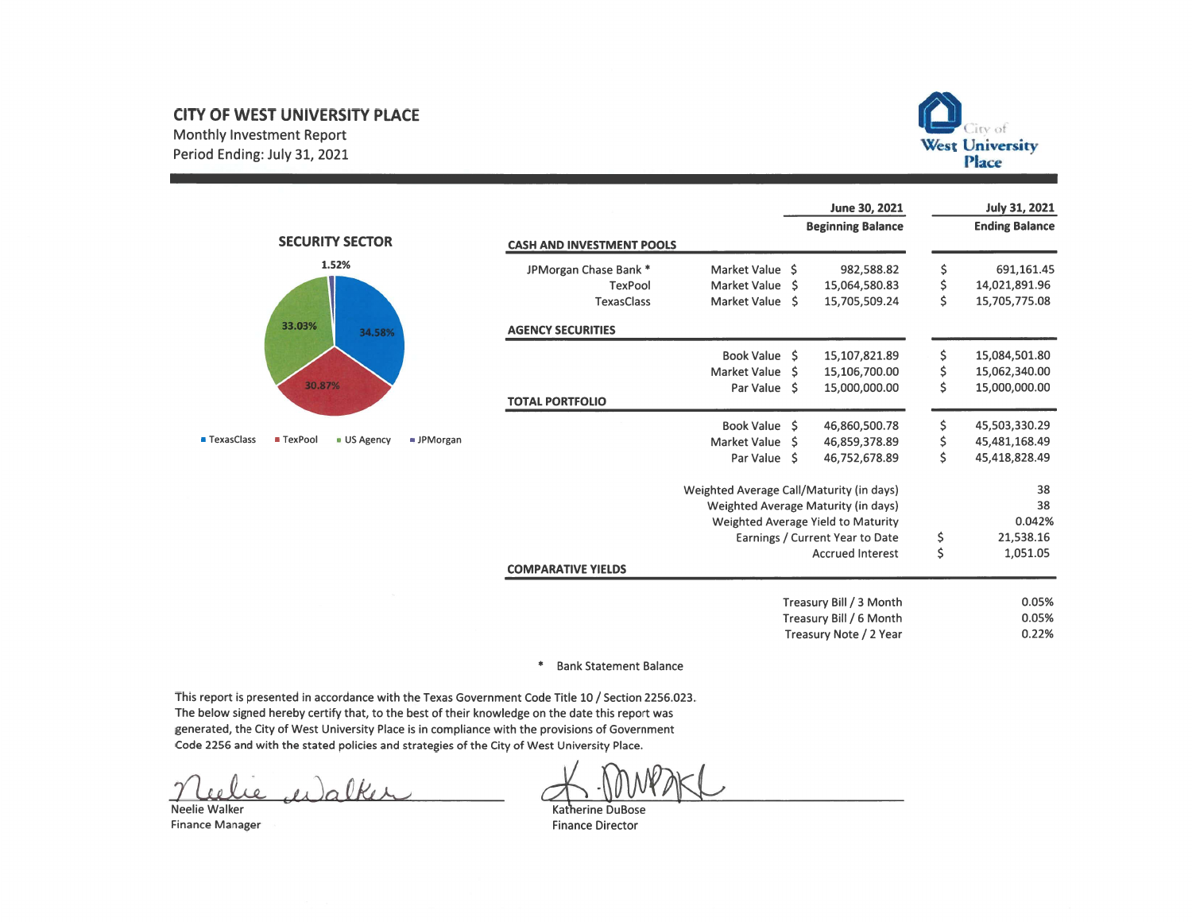# **CITY OF WEST UNIVERSITY PLACE**

Monthly Investment Report Period Ending: July 31, 2021



**July 31, 2021** 

June 30, 2021



| <b>CASH AND INVESTMENT POOLS</b> |                                          |     | <b>Beginning Balance</b>            |          | <b>Ending Balance</b> |
|----------------------------------|------------------------------------------|-----|-------------------------------------|----------|-----------------------|
| JPMorgan Chase Bank *            | Market Value                             | Ŝ.  | 982,588.82                          |          | 691,161.45            |
| <b>TexPool</b>                   | Market Value                             | Ŝ.  | 15,064,580.83                       | ららら      | 14,021,891.96         |
| <b>TexasClass</b>                | Market Value                             | Ŝ.  | 15,705,509.24                       |          | 15,705,775.08         |
| <b>AGENCY SECURITIES</b>         |                                          |     |                                     |          |                       |
|                                  | <b>Book Value</b>                        | -Ś  | 15,107,821.89                       | \$       | 15,084,501.80         |
|                                  | <b>Market Value</b>                      | Ś   | 15,106,700.00                       | \$       | 15,062,340.00         |
|                                  | Par Value                                | - Ś | 15,000,000.00                       | \$       | 15,000,000.00         |
| <b>TOTAL PORTFOLIO</b>           |                                          |     |                                     |          |                       |
|                                  | <b>Book Value</b>                        | Ŝ   | 46,860,500.78                       | \$       | 45,503,330.29         |
|                                  | Market Value                             | Ś   | 46,859,378.89                       | \$       | 45,481,168.49         |
|                                  | Par Value                                | -Ŝ  | 46,752,678.89                       | \$       | 45,418,828.49         |
|                                  | Weighted Average Call/Maturity (in days) |     |                                     |          | 38                    |
|                                  |                                          |     | Weighted Average Maturity (in days) |          | 38                    |
|                                  |                                          |     | Weighted Average Yield to Maturity  |          | 0.042%                |
|                                  |                                          |     | Earnings / Current Year to Date     | \$<br>\$ | 21,538.16             |
|                                  |                                          |     | <b>Accrued Interest</b>             |          | 1,051.05              |
| <b>COMPARATIVE YIELDS</b>        |                                          |     |                                     |          |                       |
|                                  |                                          |     | Treasury Bill / 3 Month             |          | 0.05%                 |
|                                  |                                          |     | Treasury Bill / 6 Month             |          | 0.05%                 |
|                                  |                                          |     | Treasury Note / 2 Year              |          | 0.22%                 |
|                                  |                                          |     |                                     |          |                       |

## \* Bank Statement Balance

This report is presented in accordance with the Texas Government Code Title 10 / Section 2256.023. The below signed hereby certify that, to the best of their knowledge on the date this report was generated, the City of West University Place is in compliance with the provisions of Government Code 2256 and with the stated policies and strategies of the City of West University Place.

Neelie Walker **Finance Manager** 

Katherine DuBose **Finance Director**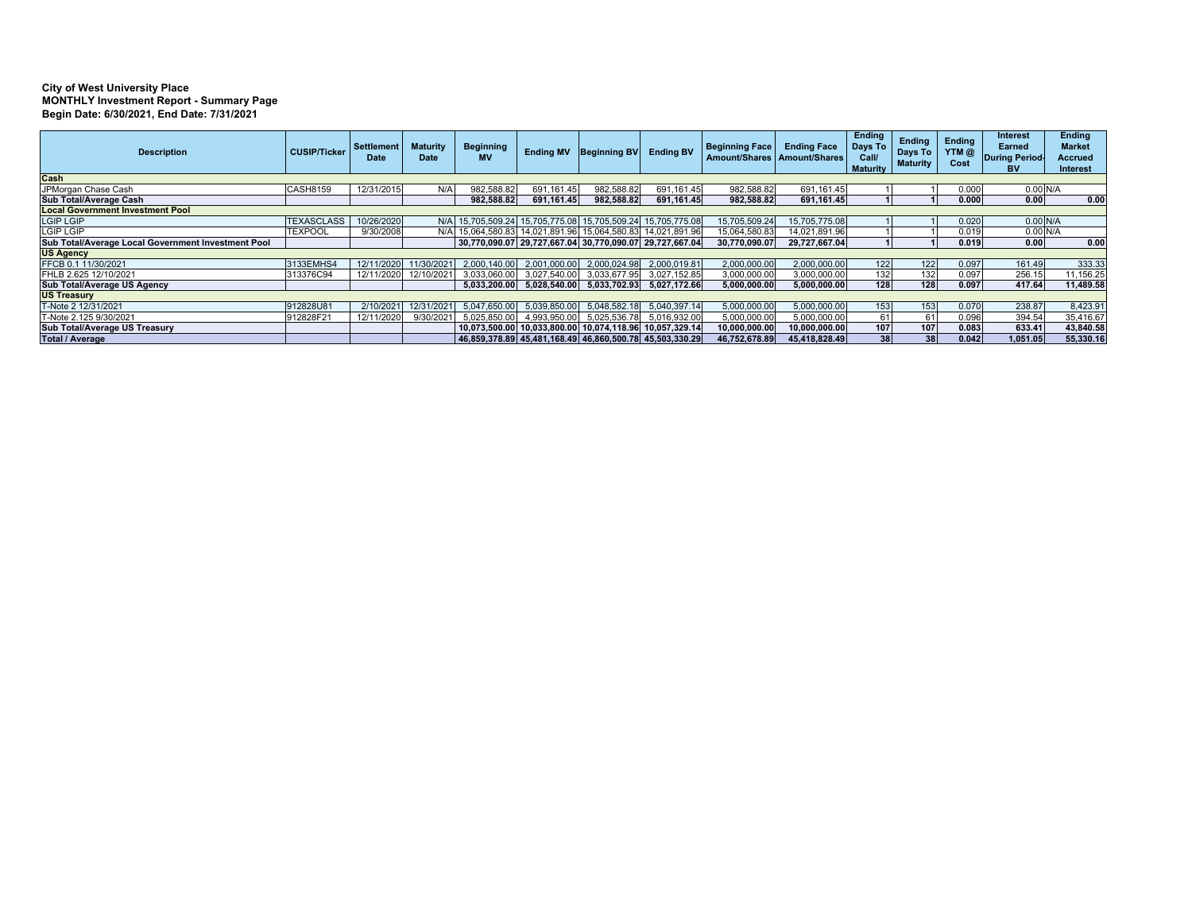#### **City of West University Place MONTHLY Investment Report - Summary Page Begin Date: 6/30/2021, End Date: 7/31/2021**

| <b>Description</b>                                 | <b>CUSIP/Ticker</b> | Settlement<br><b>Date</b> | <b>Maturity</b><br><b>Date</b> | <b>Beginning</b><br><b>MV</b> | <b>Ending MV</b> | <b>Beginning BV</b>                                         | <b>Ending BV</b> | <b>Beginning Face</b><br>Amount/Shares   Amount/Shares | <b>Ending Face</b> | <b>Ending</b><br>Days To<br>Call/<br><b>Maturity</b> | <b>Endina</b><br>Days To<br><b>Maturity</b> | <b>Endina</b><br>YTM@<br>Cost | <b>Interest</b><br><b>Earned</b><br>During Period<br><b>BV</b> | <b>Ending</b><br><b>Market</b><br><b>Accrued</b><br>Interest |
|----------------------------------------------------|---------------------|---------------------------|--------------------------------|-------------------------------|------------------|-------------------------------------------------------------|------------------|--------------------------------------------------------|--------------------|------------------------------------------------------|---------------------------------------------|-------------------------------|----------------------------------------------------------------|--------------------------------------------------------------|
| Cash                                               |                     |                           |                                |                               |                  |                                                             |                  |                                                        |                    |                                                      |                                             |                               |                                                                |                                                              |
| JPMorgan Chase Cash                                | <b>CASH8159</b>     | 12/31/2015                | N/A                            | 982.588.82                    | 691.161.45       | 982.588.82                                                  | 691.161.45       | 982,588.82                                             | 691.161.45         |                                                      |                                             | 0.000                         | $0.00$ N/A                                                     |                                                              |
| Sub Total/Average Cash                             |                     |                           |                                | 982,588.82                    | 691,161.45       | 982,588.82                                                  | 691,161.45       | 982,588.82                                             | 691,161.45         |                                                      |                                             | 0.000                         | 0.00                                                           | 0.00                                                         |
| <b>Local Government Investment Pool</b>            |                     |                           |                                |                               |                  |                                                             |                  |                                                        |                    |                                                      |                                             |                               |                                                                |                                                              |
| <b>LGIP LGIP</b>                                   | <b>TEXASCLASS</b>   | 10/26/2020                |                                |                               |                  | N/A 15,705,509.24 15,705,775.08 15,705,509.24 15,705,775.08 |                  | 15,705,509.24                                          | 15.705.775.08      |                                                      |                                             | 0.020                         | $0.00$ N/A                                                     |                                                              |
| <b>LGIP LGIP</b>                                   | <b>TEXPOOL</b>      | 9/30/2008                 | N/A                            |                               |                  | 15,064,580.83 14,021,891.96 15,064,580.83 14,021,891.96     |                  | 15,064,580.83                                          | 14.021.891.96      |                                                      |                                             | 0.019                         | $0.00$ N/A                                                     |                                                              |
| Sub Total/Average Local Government Investment Pool |                     |                           |                                |                               |                  | 30,770,090.07 29,727,667.04 30,770,090.07 29,727,667.04     |                  | 30.770.090.07                                          | 29.727.667.04      |                                                      |                                             | 0.019                         | 0.00                                                           | 0.00                                                         |
| <b>US Agency</b>                                   |                     |                           |                                |                               |                  |                                                             |                  |                                                        |                    |                                                      |                                             |                               |                                                                |                                                              |
| FFCB 0.1 11/30/2021                                | 3133EMHS4           | 12/11/2020                | 11/30/2021                     | 2.000.140.00                  | 2.001.000.00     | 2.000.024.98                                                | 2,000,019.81     | 2,000,000.00                                           | 2,000,000.00       | 122                                                  | 122                                         | 0.097                         | 161.49                                                         | 333.33                                                       |
| FHLB 2.625 12/10/2021                              | 313376C94           | 12/11/2020                | 12/10/2021                     | 3,033,060.00                  | 3,027,540.00     | 3,033,677.95                                                | 3,027,152.85     | 3,000,000.00                                           | 3.000.000.00       | 132                                                  | 132                                         | 0.097                         | 256.1                                                          | 11,156.25                                                    |
| Sub Total/Average US Agency                        |                     |                           |                                |                               |                  | 5,033,200.00 5,028,540.00 5,033,702.93                      | 5.027.172.66     | 5.000.000.00                                           | 5.000.000.00       | 128                                                  | 128                                         | 0.097                         | 417.64                                                         | 11,489.58                                                    |
| <b>US Treasury</b>                                 |                     |                           |                                |                               |                  |                                                             |                  |                                                        |                    |                                                      |                                             |                               |                                                                |                                                              |
| T-Note 2 12/31/2021                                | 912828U81           | 2/10/2021                 | 12/31/2021                     | 5.047.650.00                  | 5.039.850.00     | 5.048.582.18                                                | 5,040,397.14     | 5,000,000.00                                           | 5,000,000.00       | 153                                                  | 153                                         | 0.070                         | 238.87                                                         | 8,423.91                                                     |
| T-Note 2.125 9/30/2021                             | 912828F21           | 12/11/2020                | 9/30/2021                      | 5.025.850.                    | 4,993,950.00     | 5.025.536.78                                                | 5,016,932.00     | 5.000.000.00                                           | 5.000.000.00       | 61                                                   | 61                                          | 0.096                         | 394.54                                                         | 35,416.67                                                    |
| Sub Total/Average US Treasury                      |                     |                           |                                |                               |                  | 10.073.500.00 10.033.800.00 10.074.118.96 10.057.329.14     |                  | 10,000,000.00                                          | 10.000.000.00      | 107                                                  | 107                                         | 0.083                         | 633.41                                                         | 43,840.58                                                    |
| <b>Total / Average</b>                             |                     |                           |                                |                               |                  | 46,859,378.89 45,481,168.49 46,860,500.78 45,503,330.29     |                  | 46,752,678.89                                          | 45,418,828.49      | 38                                                   | 38                                          | 0.042                         | 1.051.05                                                       | 55,330.16                                                    |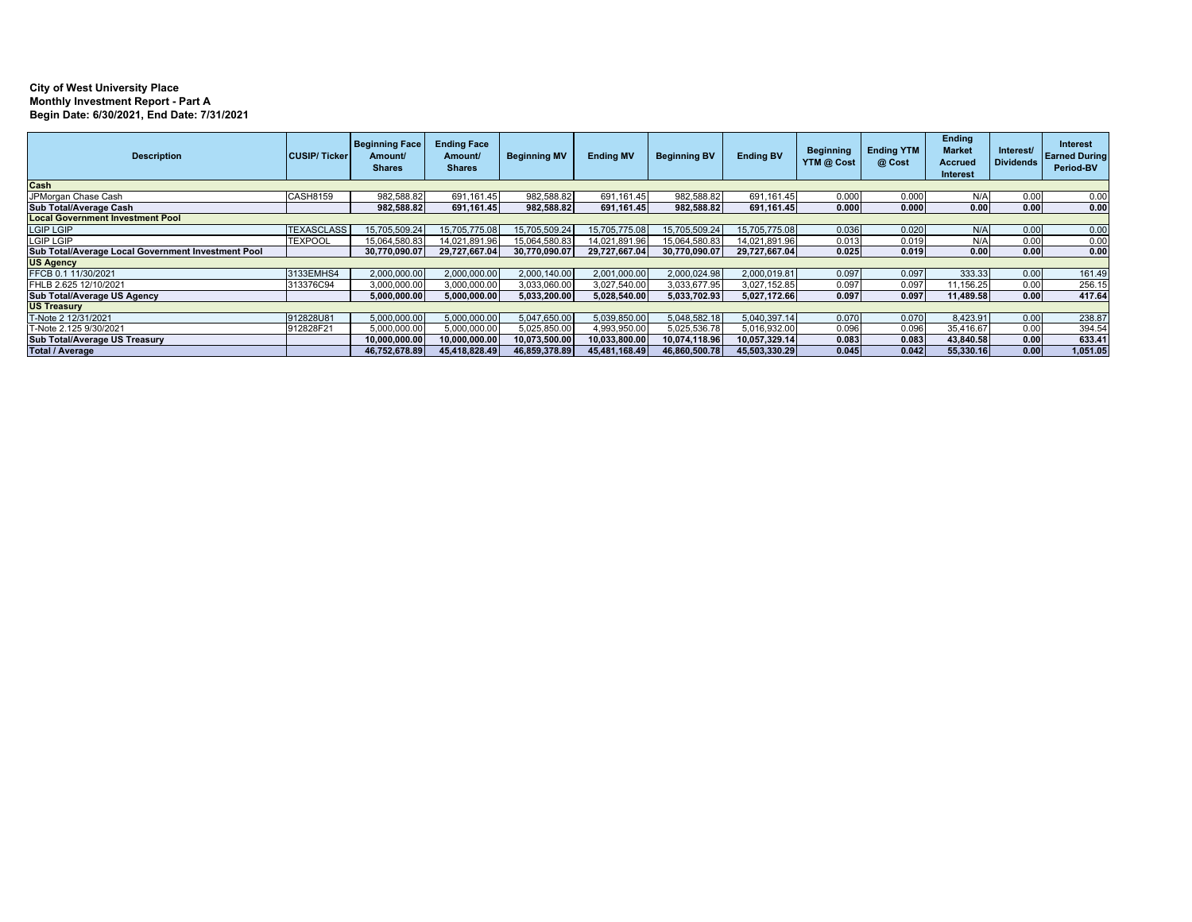### **City of West University Place Monthly Investment Report - Part A Begin Date: 6/30/2021, End Date: 7/31/2021**

| <b>Description</b>                                 | <b>CUSIP/Ticker</b> | <b>Beginning Face</b><br>Amount/<br><b>Shares</b> | <b>Ending Face</b><br>Amount/<br><b>Shares</b> | <b>Beginning MV</b> | <b>Ending MV</b> | <b>Beginning BV</b> | <b>Ending BV</b> | <b>Beginning</b><br>YTM @ Cost | <b>Ending YTM</b><br>@ Cost | <b>Ending</b><br><b>Market</b><br><b>Accrued</b><br>Interest | Interest/<br><b>Dividends</b> | <b>Interest</b><br><b>Earned During</b><br>Period-BV |
|----------------------------------------------------|---------------------|---------------------------------------------------|------------------------------------------------|---------------------|------------------|---------------------|------------------|--------------------------------|-----------------------------|--------------------------------------------------------------|-------------------------------|------------------------------------------------------|
| Cash                                               |                     |                                                   |                                                |                     |                  |                     |                  |                                |                             |                                                              |                               |                                                      |
| JPMorgan Chase Cash                                | <b>CASH8159</b>     | 982,588.82                                        | 691,161.45                                     | 982,588.82          | 691,161.45       | 982,588.82          | 691, 161.45      | 0.000                          | 0.000                       | N/A                                                          | 0.00                          | 0.00                                                 |
| Sub Total/Average Cash                             |                     | 982,588.82                                        | 691,161.45                                     | 982.588.82          | 691,161.45       | 982,588.82          | 691.161.45       | 0.000                          | 0.000                       | 0.00                                                         | 0.00                          | 0.00                                                 |
| <b>Local Government Investment Pool</b>            |                     |                                                   |                                                |                     |                  |                     |                  |                                |                             |                                                              |                               |                                                      |
| <b>LGIP LGIP</b>                                   | <b>TEXASCLASS</b>   | 15,705,509.24                                     | 15,705,775.08                                  | 15,705,509.24       | 15,705,775.08    | 15,705,509.24       | 15.705.775.08    | 0.036                          | 0.020                       | N/A                                                          | 0.00                          | 0.00                                                 |
| <b>LGIP LGIP</b>                                   | <b>TEXPOOL</b>      | 15,064,580.83                                     | 14,021,891.96                                  | 15.064.580.83       | 14,021,891.96    | 15,064,580.83       | 14,021,891.96    | 0.013                          | 0.019                       | N/A                                                          | 0.00                          | 0.00                                                 |
| Sub Total/Average Local Government Investment Pool |                     | 30.770.090.07                                     | 29.727.667.04                                  | 30.770.090.07       | 29.727.667.04    | 30,770,090.07       | 29,727,667.04    | 0.025                          | 0.019                       | 0.00                                                         | 0.00                          | 0.00                                                 |
| <b>US Agency</b>                                   |                     |                                                   |                                                |                     |                  |                     |                  |                                |                             |                                                              |                               |                                                      |
| FFCB 0.1 11/30/2021                                | 3133EMHS4           | 2.000.000.00                                      | 2,000,000.00                                   | 2,000,140.00        | 2,001,000.00     | 2,000,024.98        | 2.000.019.81     | 0.097                          | 0.097                       | 333.33                                                       | 0.00                          | 161.49                                               |
| FHLB 2.625 12/10/2021                              | 313376C94           | 3,000,000.00                                      | 3,000,000.00                                   | 3,033,060.00        | 3,027,540.00     | 3,033,677.95        | 3,027,152.85     | 0.097                          | 0.097                       | 11,156.25                                                    | 0.00                          | 256.15                                               |
| Sub Total/Average US Agency                        |                     | 5,000,000.00                                      | 5,000,000.00                                   | 5,033,200.00        | 5,028,540.00     | 5.033.702.93        | 5,027,172.66     | 0.097                          | 0.097                       | 11,489.58                                                    | 0.00                          | 417.64                                               |
| <b>US Treasury</b>                                 |                     |                                                   |                                                |                     |                  |                     |                  |                                |                             |                                                              |                               |                                                      |
| T-Note 2 12/31/2021                                | 912828U81           | 5,000,000.00                                      | 5,000,000.00                                   | 5,047,650.00        | 5,039,850.00     | 5,048,582.18        | 5,040,397.14     | 0.070                          | 0.070                       | 8,423.91                                                     | 0.00                          | 238.87                                               |
| T-Note 2.125 9/30/2021                             | 912828F21           | 5,000,000.00                                      | 5,000,000.00                                   | 5,025,850.00        | 4,993,950.00     | 5,025,536.78        | 5.016.932.00     | 0.096                          | 0.096                       | 35,416.67                                                    | 0.00                          | 394.54                                               |
| Sub Total/Average US Treasury                      |                     | 10.000.000.00                                     | 10,000,000.00                                  | 10,073,500.00       | 10,033,800.00    | 10,074,118.96       | 10,057,329.14    | 0.083                          | 0.083                       | 43,840.58                                                    | 0.00                          | 633.41                                               |
| <b>Total / Average</b>                             |                     | 46,752,678.89                                     | 45,418,828.49                                  | 46,859,378.89       | 45,481,168.49    | 46,860,500.78       | 45,503,330.29    | 0.045                          | 0.042                       | 55,330.16                                                    | 0.00                          | 1,051.05                                             |